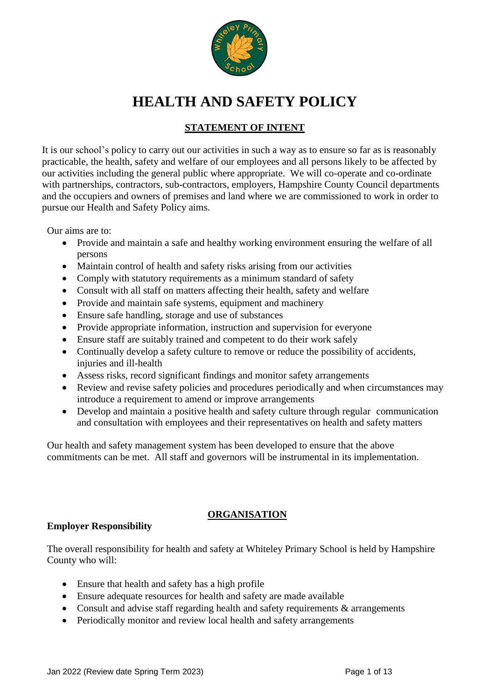

# **HEALTH AND SAFETY POLICY**

## **STATEMENT OF INTENT**

It is our school's policy to carry out our activities in such a way as to ensure so far as is reasonably practicable, the health, safety and welfare of our employees and all persons likely to be affected by our activities including the general public where appropriate. We will co-operate and co-ordinate with partnerships, contractors, sub-contractors, employers, Hampshire County Council departments and the occupiers and owners of premises and land where we are commissioned to work in order to pursue our Health and Safety Policy aims.

Our aims are to:

- Provide and maintain a safe and healthy working environment ensuring the welfare of all persons
- Maintain control of health and safety risks arising from our activities
- Comply with statutory requirements as a minimum standard of safety
- Consult with all staff on matters affecting their health, safety and welfare
- Provide and maintain safe systems, equipment and machinery
- Ensure safe handling, storage and use of substances
- Provide appropriate information, instruction and supervision for everyone
- Ensure staff are suitably trained and competent to do their work safely
- Continually develop a safety culture to remove or reduce the possibility of accidents, injuries and ill-health
- Assess risks, record significant findings and monitor safety arrangements
- Review and revise safety policies and procedures periodically and when circumstances may introduce a requirement to amend or improve arrangements
- Develop and maintain a positive health and safety culture through regular communication and consultation with employees and their representatives on health and safety matters

Our health and safety management system has been developed to ensure that the above commitments can be met. All staff and governors will be instrumental in its implementation.

## **ORGANISATION**

## **Employer Responsibility**

The overall responsibility for health and safety at Whiteley Primary School is held by Hampshire County who will:

- Ensure that health and safety has a high profile
- Ensure adequate resources for health and safety are made available
- Consult and advise staff regarding health and safety requirements & arrangements
- Periodically monitor and review local health and safety arrangements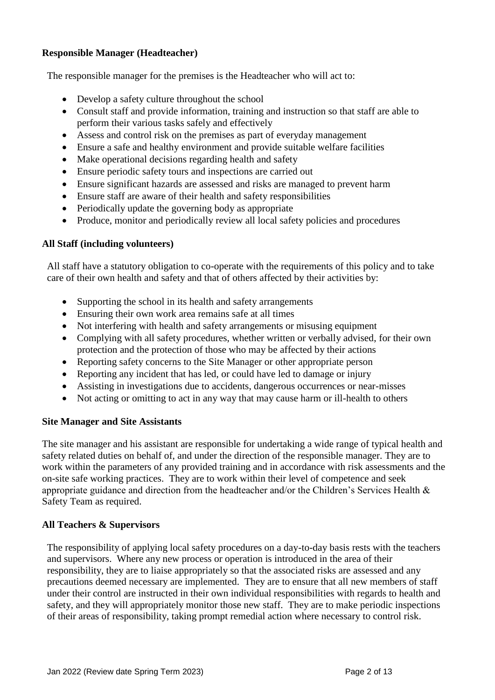## **Responsible Manager (Headteacher)**

The responsible manager for the premises is the Headteacher who will act to:

- Develop a safety culture throughout the school
- Consult staff and provide information, training and instruction so that staff are able to perform their various tasks safely and effectively
- Assess and control risk on the premises as part of everyday management
- Ensure a safe and healthy environment and provide suitable welfare facilities
- Make operational decisions regarding health and safety
- Ensure periodic safety tours and inspections are carried out
- Ensure significant hazards are assessed and risks are managed to prevent harm
- Ensure staff are aware of their health and safety responsibilities
- Periodically update the governing body as appropriate
- Produce, monitor and periodically review all local safety policies and procedures

## **All Staff (including volunteers)**

All staff have a statutory obligation to co-operate with the requirements of this policy and to take care of their own health and safety and that of others affected by their activities by:

- Supporting the school in its health and safety arrangements
- Ensuring their own work area remains safe at all times
- Not interfering with health and safety arrangements or misusing equipment
- Complying with all safety procedures, whether written or verbally advised, for their own protection and the protection of those who may be affected by their actions
- Reporting safety concerns to the Site Manager or other appropriate person
- Reporting any incident that has led, or could have led to damage or injury
- Assisting in investigations due to accidents, dangerous occurrences or near-misses
- Not acting or omitting to act in any way that may cause harm or ill-health to others

## **Site Manager and Site Assistants**

The site manager and his assistant are responsible for undertaking a wide range of typical health and safety related duties on behalf of, and under the direction of the responsible manager. They are to work within the parameters of any provided training and in accordance with risk assessments and the on-site safe working practices. They are to work within their level of competence and seek appropriate guidance and direction from the headteacher and/or the Children's Services Health & Safety Team as required.

#### **All Teachers & Supervisors**

The responsibility of applying local safety procedures on a day-to-day basis rests with the teachers and supervisors. Where any new process or operation is introduced in the area of their responsibility, they are to liaise appropriately so that the associated risks are assessed and any precautions deemed necessary are implemented. They are to ensure that all new members of staff under their control are instructed in their own individual responsibilities with regards to health and safety, and they will appropriately monitor those new staff. They are to make periodic inspections of their areas of responsibility, taking prompt remedial action where necessary to control risk.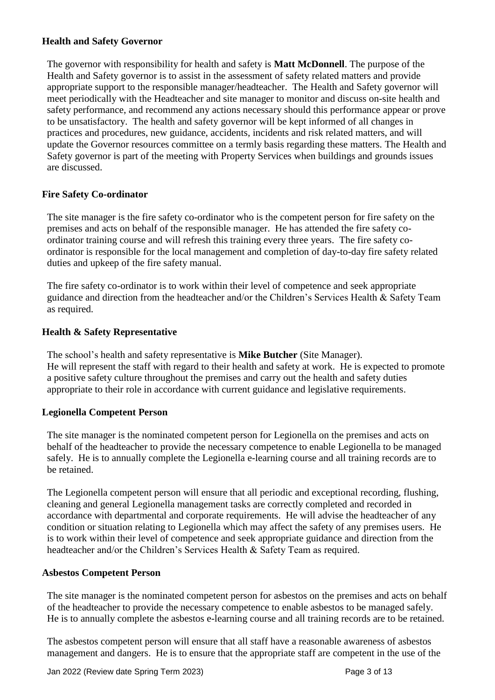#### **Health and Safety Governor**

The governor with responsibility for health and safety is **Matt McDonnell**. The purpose of the Health and Safety governor is to assist in the assessment of safety related matters and provide appropriate support to the responsible manager/headteacher. The Health and Safety governor will meet periodically with the Headteacher and site manager to monitor and discuss on-site health and safety performance, and recommend any actions necessary should this performance appear or prove to be unsatisfactory. The health and safety governor will be kept informed of all changes in practices and procedures, new guidance, accidents, incidents and risk related matters, and will update the Governor resources committee on a termly basis regarding these matters. The Health and Safety governor is part of the meeting with Property Services when buildings and grounds issues are discussed.

#### **Fire Safety Co-ordinator**

The site manager is the fire safety co-ordinator who is the competent person for fire safety on the premises and acts on behalf of the responsible manager. He has attended the fire safety coordinator training course and will refresh this training every three years. The fire safety coordinator is responsible for the local management and completion of day-to-day fire safety related duties and upkeep of the fire safety manual.

The fire safety co-ordinator is to work within their level of competence and seek appropriate guidance and direction from the headteacher and/or the Children's Services Health & Safety Team as required.

#### **Health & Safety Representative**

The school's health and safety representative is **Mike Butcher** (Site Manager). He will represent the staff with regard to their health and safety at work. He is expected to promote a positive safety culture throughout the premises and carry out the health and safety duties appropriate to their role in accordance with current guidance and legislative requirements.

#### **Legionella Competent Person**

The site manager is the nominated competent person for Legionella on the premises and acts on behalf of the headteacher to provide the necessary competence to enable Legionella to be managed safely. He is to annually complete the Legionella e-learning course and all training records are to be retained.

The Legionella competent person will ensure that all periodic and exceptional recording, flushing, cleaning and general Legionella management tasks are correctly completed and recorded in accordance with departmental and corporate requirements. He will advise the headteacher of any condition or situation relating to Legionella which may affect the safety of any premises users. He is to work within their level of competence and seek appropriate guidance and direction from the headteacher and/or the Children's Services Health & Safety Team as required.

#### **Asbestos Competent Person**

The site manager is the nominated competent person for asbestos on the premises and acts on behalf of the headteacher to provide the necessary competence to enable asbestos to be managed safely. He is to annually complete the asbestos e-learning course and all training records are to be retained.

The asbestos competent person will ensure that all staff have a reasonable awareness of asbestos management and dangers. He is to ensure that the appropriate staff are competent in the use of the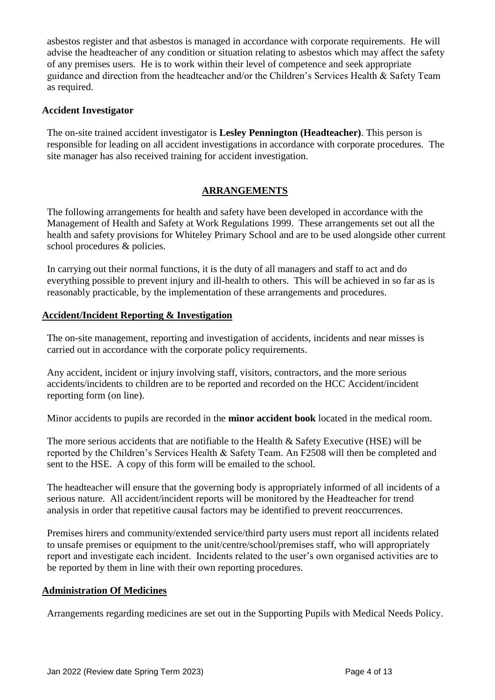asbestos register and that asbestos is managed in accordance with corporate requirements. He will advise the headteacher of any condition or situation relating to asbestos which may affect the safety of any premises users. He is to work within their level of competence and seek appropriate guidance and direction from the headteacher and/or the Children's Services Health & Safety Team as required.

#### **Accident Investigator**

The on-site trained accident investigator is **Lesley Pennington (Headteacher)**. This person is responsible for leading on all accident investigations in accordance with corporate procedures. The site manager has also received training for accident investigation.

## **ARRANGEMENTS**

The following arrangements for health and safety have been developed in accordance with the Management of Health and Safety at Work Regulations 1999. These arrangements set out all the health and safety provisions for Whiteley Primary School and are to be used alongside other current school procedures & policies.

In carrying out their normal functions, it is the duty of all managers and staff to act and do everything possible to prevent injury and ill-health to others. This will be achieved in so far as is reasonably practicable, by the implementation of these arrangements and procedures.

#### **Accident/Incident Reporting & Investigation**

The on-site management, reporting and investigation of accidents, incidents and near misses is carried out in accordance with the corporate policy requirements.

Any accident, incident or injury involving staff, visitors, contractors, and the more serious accidents/incidents to children are to be reported and recorded on the HCC Accident/incident reporting form (on line).

Minor accidents to pupils are recorded in the **minor accident book** located in the medical room.

The more serious accidents that are notifiable to the Health & Safety Executive (HSE) will be reported by the Children's Services Health & Safety Team. An F2508 will then be completed and sent to the HSE. A copy of this form will be emailed to the school.

The headteacher will ensure that the governing body is appropriately informed of all incidents of a serious nature. All accident/incident reports will be monitored by the Headteacher for trend analysis in order that repetitive causal factors may be identified to prevent reoccurrences.

Premises hirers and community/extended service/third party users must report all incidents related to unsafe premises or equipment to the unit/centre/school/premises staff, who will appropriately report and investigate each incident. Incidents related to the user's own organised activities are to be reported by them in line with their own reporting procedures.

#### **Administration Of Medicines**

Arrangements regarding medicines are set out in the Supporting Pupils with Medical Needs Policy.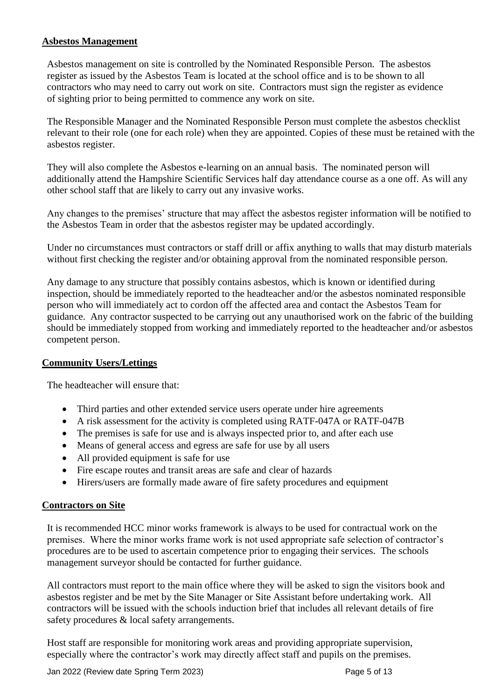#### **Asbestos Management**

Asbestos management on site is controlled by the Nominated Responsible Person. The asbestos register as issued by the Asbestos Team is located at the school office and is to be shown to all contractors who may need to carry out work on site. Contractors must sign the register as evidence of sighting prior to being permitted to commence any work on site.

The Responsible Manager and the Nominated Responsible Person must complete the asbestos checklist relevant to their role (one for each role) when they are appointed. Copies of these must be retained with the asbestos register.

They will also complete the Asbestos e-learning on an annual basis. The nominated person will additionally attend the Hampshire Scientific Services half day attendance course as a one off. As will any other school staff that are likely to carry out any invasive works.

Any changes to the premises' structure that may affect the asbestos register information will be notified to the Asbestos Team in order that the asbestos register may be updated accordingly.

Under no circumstances must contractors or staff drill or affix anything to walls that may disturb materials without first checking the register and/or obtaining approval from the nominated responsible person.

Any damage to any structure that possibly contains asbestos, which is known or identified during inspection, should be immediately reported to the headteacher and/or the asbestos nominated responsible person who will immediately act to cordon off the affected area and contact the Asbestos Team for guidance. Any contractor suspected to be carrying out any unauthorised work on the fabric of the building should be immediately stopped from working and immediately reported to the headteacher and/or asbestos competent person.

## **Community Users/Lettings**

The headteacher will ensure that:

- Third parties and other extended service users operate under hire agreements
- A risk assessment for the activity is completed using RATF-047A or RATF-047B
- The premises is safe for use and is always inspected prior to, and after each use
- Means of general access and egress are safe for use by all users
- All provided equipment is safe for use
- Fire escape routes and transit areas are safe and clear of hazards
- Hirers/users are formally made aware of fire safety procedures and equipment

#### **Contractors on Site**

It is recommended HCC minor works framework is always to be used for contractual work on the premises. Where the minor works frame work is not used appropriate safe selection of contractor's procedures are to be used to ascertain competence prior to engaging their services. The schools management surveyor should be contacted for further guidance.

All contractors must report to the main office where they will be asked to sign the visitors book and asbestos register and be met by the Site Manager or Site Assistant before undertaking work. All contractors will be issued with the schools induction brief that includes all relevant details of fire safety procedures & local safety arrangements.

Host staff are responsible for monitoring work areas and providing appropriate supervision, especially where the contractor's work may directly affect staff and pupils on the premises.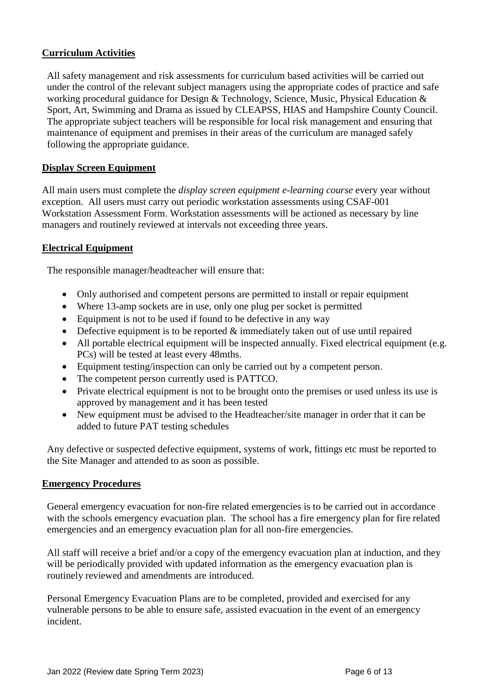## **Curriculum Activities**

All safety management and risk assessments for curriculum based activities will be carried out under the control of the relevant subject managers using the appropriate codes of practice and safe working procedural guidance for Design & Technology, Science, Music, Physical Education & Sport, Art, Swimming and Drama as issued by CLEAPSS, HIAS and Hampshire County Council. The appropriate subject teachers will be responsible for local risk management and ensuring that maintenance of equipment and premises in their areas of the curriculum are managed safely following the appropriate guidance.

## **Display Screen Equipment**

All main users must complete the *display screen equipment e-learning course* every year without exception. All users must carry out periodic workstation assessments using CSAF-001 Workstation Assessment Form. Workstation assessments will be actioned as necessary by line managers and routinely reviewed at intervals not exceeding three years.

#### **Electrical Equipment**

The responsible manager/headteacher will ensure that:

- Only authorised and competent persons are permitted to install or repair equipment
- Where 13-amp sockets are in use, only one plug per socket is permitted
- Equipment is not to be used if found to be defective in any way
- Defective equipment is to be reported  $&$  immediately taken out of use until repaired
- All portable electrical equipment will be inspected annually. Fixed electrical equipment (e.g. PCs) will be tested at least every 48mths.
- Equipment testing/inspection can only be carried out by a competent person.
- The competent person currently used is PATTCO.
- Private electrical equipment is not to be brought onto the premises or used unless its use is approved by management and it has been tested
- New equipment must be advised to the Headteacher/site manager in order that it can be added to future PAT testing schedules

Any defective or suspected defective equipment, systems of work, fittings etc must be reported to the Site Manager and attended to as soon as possible.

#### **Emergency Procedures**

General emergency evacuation for non-fire related emergencies is to be carried out in accordance with the schools emergency evacuation plan. The school has a fire emergency plan for fire related emergencies and an emergency evacuation plan for all non-fire emergencies.

All staff will receive a brief and/or a copy of the emergency evacuation plan at induction, and they will be periodically provided with updated information as the emergency evacuation plan is routinely reviewed and amendments are introduced.

Personal Emergency Evacuation Plans are to be completed, provided and exercised for any vulnerable persons to be able to ensure safe, assisted evacuation in the event of an emergency incident.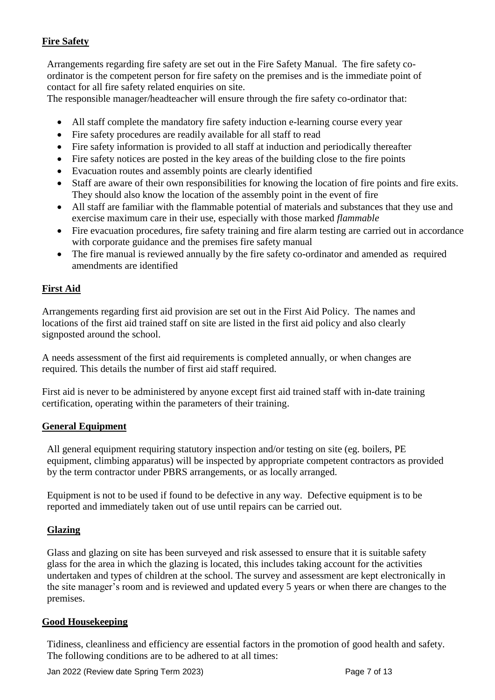## **Fire Safety**

Arrangements regarding fire safety are set out in the Fire Safety Manual. The fire safety coordinator is the competent person for fire safety on the premises and is the immediate point of contact for all fire safety related enquiries on site.

The responsible manager/headteacher will ensure through the fire safety co-ordinator that:

- All staff complete the mandatory fire safety induction e-learning course every year
- Fire safety procedures are readily available for all staff to read
- Fire safety information is provided to all staff at induction and periodically thereafter
- Fire safety notices are posted in the key areas of the building close to the fire points
- Evacuation routes and assembly points are clearly identified
- Staff are aware of their own responsibilities for knowing the location of fire points and fire exits. They should also know the location of the assembly point in the event of fire
- All staff are familiar with the flammable potential of materials and substances that they use and exercise maximum care in their use, especially with those marked *flammable*
- Fire evacuation procedures, fire safety training and fire alarm testing are carried out in accordance with corporate guidance and the premises fire safety manual
- The fire manual is reviewed annually by the fire safety co-ordinator and amended as required amendments are identified

## **First Aid**

Arrangements regarding first aid provision are set out in the First Aid Policy. The names and locations of the first aid trained staff on site are listed in the first aid policy and also clearly signposted around the school.

A needs assessment of the first aid requirements is completed annually, or when changes are required. This details the number of first aid staff required.

First aid is never to be administered by anyone except first aid trained staff with in-date training certification, operating within the parameters of their training.

#### **General Equipment**

All general equipment requiring statutory inspection and/or testing on site (eg. boilers, PE equipment, climbing apparatus) will be inspected by appropriate competent contractors as provided by the term contractor under PBRS arrangements, or as locally arranged.

Equipment is not to be used if found to be defective in any way. Defective equipment is to be reported and immediately taken out of use until repairs can be carried out.

#### **Glazing**

Glass and glazing on site has been surveyed and risk assessed to ensure that it is suitable safety glass for the area in which the glazing is located, this includes taking account for the activities undertaken and types of children at the school. The survey and assessment are kept electronically in the site manager's room and is reviewed and updated every 5 years or when there are changes to the premises.

#### **Good Housekeeping**

Tidiness, cleanliness and efficiency are essential factors in the promotion of good health and safety. The following conditions are to be adhered to at all times: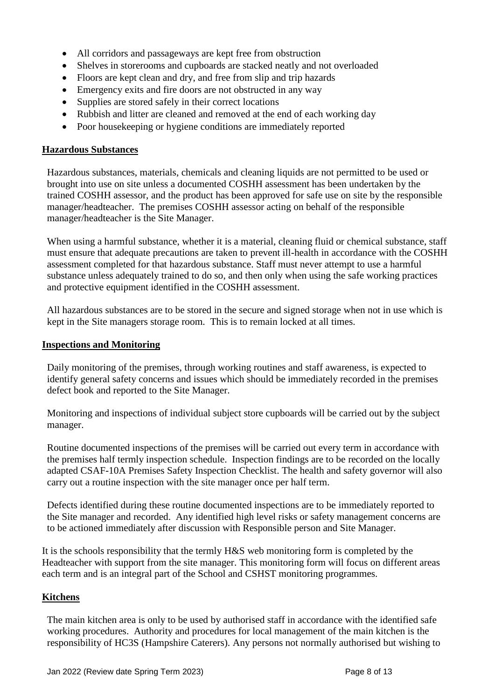- All corridors and passageways are kept free from obstruction
- Shelves in storerooms and cupboards are stacked neatly and not overloaded
- Floors are kept clean and dry, and free from slip and trip hazards
- Emergency exits and fire doors are not obstructed in any way
- Supplies are stored safely in their correct locations
- Rubbish and litter are cleaned and removed at the end of each working day
- Poor house keeping or hygiene conditions are immediately reported

#### **Hazardous Substances**

Hazardous substances, materials, chemicals and cleaning liquids are not permitted to be used or brought into use on site unless a documented COSHH assessment has been undertaken by the trained COSHH assessor, and the product has been approved for safe use on site by the responsible manager/headteacher. The premises COSHH assessor acting on behalf of the responsible manager/headteacher is the Site Manager.

When using a harmful substance, whether it is a material, cleaning fluid or chemical substance, staff must ensure that adequate precautions are taken to prevent ill-health in accordance with the COSHH assessment completed for that hazardous substance. Staff must never attempt to use a harmful substance unless adequately trained to do so, and then only when using the safe working practices and protective equipment identified in the COSHH assessment.

All hazardous substances are to be stored in the secure and signed storage when not in use which is kept in the Site managers storage room. This is to remain locked at all times.

#### **Inspections and Monitoring**

Daily monitoring of the premises, through working routines and staff awareness, is expected to identify general safety concerns and issues which should be immediately recorded in the premises defect book and reported to the Site Manager.

Monitoring and inspections of individual subject store cupboards will be carried out by the subject manager.

Routine documented inspections of the premises will be carried out every term in accordance with the premises half termly inspection schedule. Inspection findings are to be recorded on the locally adapted CSAF-10A Premises Safety Inspection Checklist. The health and safety governor will also carry out a routine inspection with the site manager once per half term.

Defects identified during these routine documented inspections are to be immediately reported to the Site manager and recorded. Any identified high level risks or safety management concerns are to be actioned immediately after discussion with Responsible person and Site Manager.

It is the schools responsibility that the termly H&S web monitoring form is completed by the Headteacher with support from the site manager. This monitoring form will focus on different areas each term and is an integral part of the School and CSHST monitoring programmes.

#### **Kitchens**

The main kitchen area is only to be used by authorised staff in accordance with the identified safe working procedures. Authority and procedures for local management of the main kitchen is the responsibility of HC3S (Hampshire Caterers). Any persons not normally authorised but wishing to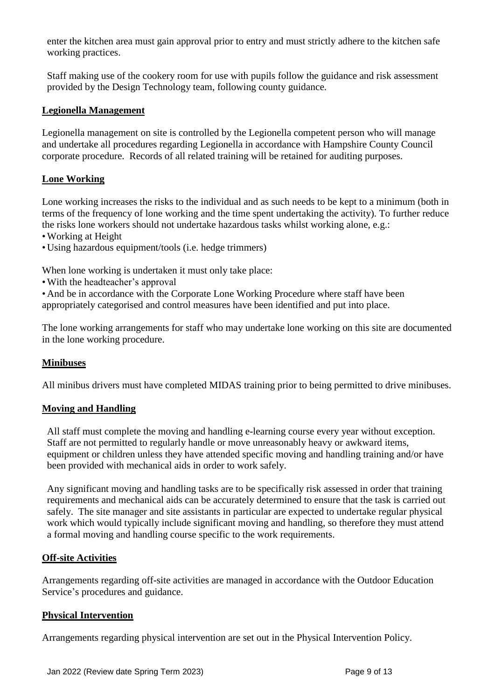enter the kitchen area must gain approval prior to entry and must strictly adhere to the kitchen safe working practices.

Staff making use of the cookery room for use with pupils follow the guidance and risk assessment provided by the Design Technology team, following county guidance.

#### **Legionella Management**

Legionella management on site is controlled by the Legionella competent person who will manage and undertake all procedures regarding Legionella in accordance with Hampshire County Council corporate procedure. Records of all related training will be retained for auditing purposes.

## **Lone Working**

Lone working increases the risks to the individual and as such needs to be kept to a minimum (both in terms of the frequency of lone working and the time spent undertaking the activity). To further reduce the risks lone workers should not undertake hazardous tasks whilst working alone, e.g.:

- •Working at Height
- Using hazardous equipment/tools (i.e. hedge trimmers)

When lone working is undertaken it must only take place:

•With the headteacher's approval

• And be in accordance with the Corporate Lone Working Procedure where staff have been appropriately categorised and control measures have been identified and put into place.

The lone working arrangements for staff who may undertake lone working on this site are documented in the lone working procedure.

## **Minibuses**

All minibus drivers must have completed MIDAS training prior to being permitted to drive minibuses.

#### **Moving and Handling**

All staff must complete the moving and handling e-learning course every year without exception. Staff are not permitted to regularly handle or move unreasonably heavy or awkward items, equipment or children unless they have attended specific moving and handling training and/or have been provided with mechanical aids in order to work safely.

Any significant moving and handling tasks are to be specifically risk assessed in order that training requirements and mechanical aids can be accurately determined to ensure that the task is carried out safely. The site manager and site assistants in particular are expected to undertake regular physical work which would typically include significant moving and handling, so therefore they must attend a formal moving and handling course specific to the work requirements.

#### **Off-site Activities**

Arrangements regarding off-site activities are managed in accordance with the Outdoor Education Service's procedures and guidance.

## **Physical Intervention**

Arrangements regarding physical intervention are set out in the Physical Intervention Policy.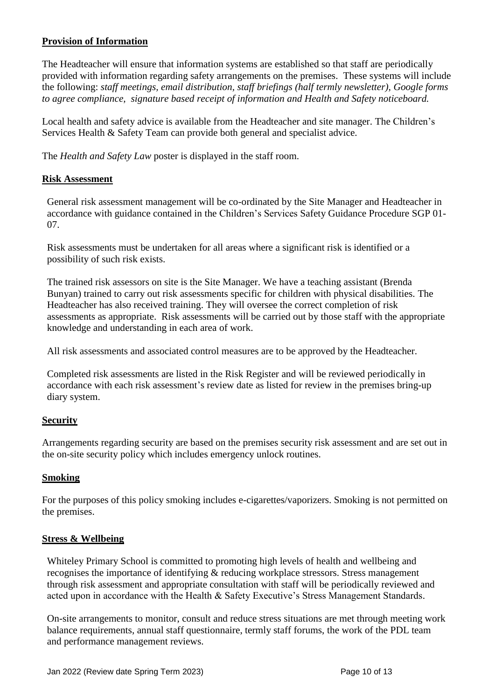## **Provision of Information**

The Headteacher will ensure that information systems are established so that staff are periodically provided with information regarding safety arrangements on the premises. These systems will include the following: *staff meetings, email distribution, staff briefings (half termly newsletter), Google forms to agree compliance, signature based receipt of information and Health and Safety noticeboard.*

Local health and safety advice is available from the Headteacher and site manager. The Children's Services Health & Safety Team can provide both general and specialist advice.

The *Health and Safety Law* poster is displayed in the staff room.

#### **Risk Assessment**

General risk assessment management will be co-ordinated by the Site Manager and Headteacher in accordance with guidance contained in the Children's Services Safety Guidance Procedure SGP 01- 07.

Risk assessments must be undertaken for all areas where a significant risk is identified or a possibility of such risk exists.

The trained risk assessors on site is the Site Manager. We have a teaching assistant (Brenda Bunyan) trained to carry out risk assessments specific for children with physical disabilities. The Headteacher has also received training. They will oversee the correct completion of risk assessments as appropriate. Risk assessments will be carried out by those staff with the appropriate knowledge and understanding in each area of work.

All risk assessments and associated control measures are to be approved by the Headteacher.

Completed risk assessments are listed in the Risk Register and will be reviewed periodically in accordance with each risk assessment's review date as listed for review in the premises bring-up diary system.

#### **Security**

Arrangements regarding security are based on the premises security risk assessment and are set out in the on-site security policy which includes emergency unlock routines.

#### **Smoking**

For the purposes of this policy smoking includes e-cigarettes/vaporizers. Smoking is not permitted on the premises.

#### **Stress & Wellbeing**

Whiteley Primary School is committed to promoting high levels of health and wellbeing and recognises the importance of identifying & reducing workplace stressors. Stress management through risk assessment and appropriate consultation with staff will be periodically reviewed and acted upon in accordance with the Health & Safety Executive's Stress Management Standards.

On-site arrangements to monitor, consult and reduce stress situations are met through meeting work balance requirements, annual staff questionnaire, termly staff forums, the work of the PDL team and performance management reviews.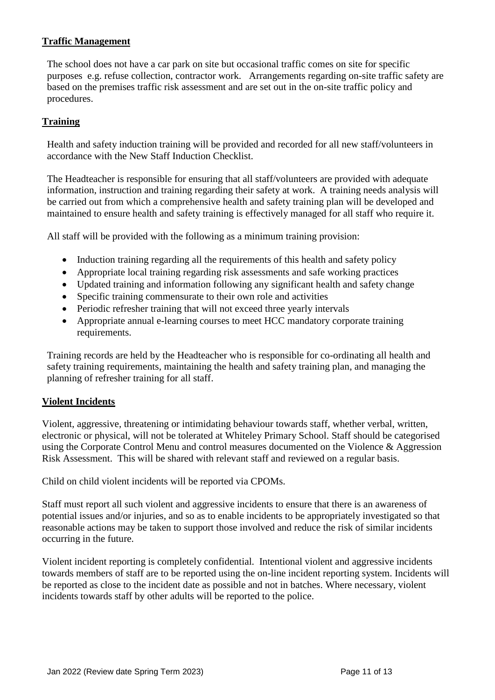## **Traffic Management**

The school does not have a car park on site but occasional traffic comes on site for specific purposes e.g. refuse collection, contractor work. Arrangements regarding on-site traffic safety are based on the premises traffic risk assessment and are set out in the on-site traffic policy and procedures.

## **Training**

Health and safety induction training will be provided and recorded for all new staff/volunteers in accordance with the New Staff Induction Checklist.

The Headteacher is responsible for ensuring that all staff/volunteers are provided with adequate information, instruction and training regarding their safety at work. A training needs analysis will be carried out from which a comprehensive health and safety training plan will be developed and maintained to ensure health and safety training is effectively managed for all staff who require it.

All staff will be provided with the following as a minimum training provision:

- Induction training regarding all the requirements of this health and safety policy
- Appropriate local training regarding risk assessments and safe working practices
- Updated training and information following any significant health and safety change
- Specific training commensurate to their own role and activities
- Periodic refresher training that will not exceed three yearly intervals
- Appropriate annual e-learning courses to meet HCC mandatory corporate training requirements.

Training records are held by the Headteacher who is responsible for co-ordinating all health and safety training requirements, maintaining the health and safety training plan, and managing the planning of refresher training for all staff.

#### **Violent Incidents**

Violent, aggressive, threatening or intimidating behaviour towards staff, whether verbal, written, electronic or physical, will not be tolerated at Whiteley Primary School. Staff should be categorised using the Corporate Control Menu and control measures documented on the Violence & Aggression Risk Assessment. This will be shared with relevant staff and reviewed on a regular basis.

Child on child violent incidents will be reported via CPOMs.

Staff must report all such violent and aggressive incidents to ensure that there is an awareness of potential issues and/or injuries, and so as to enable incidents to be appropriately investigated so that reasonable actions may be taken to support those involved and reduce the risk of similar incidents occurring in the future.

Violent incident reporting is completely confidential. Intentional violent and aggressive incidents towards members of staff are to be reported using the on-line incident reporting system. Incidents will be reported as close to the incident date as possible and not in batches. Where necessary, violent incidents towards staff by other adults will be reported to the police.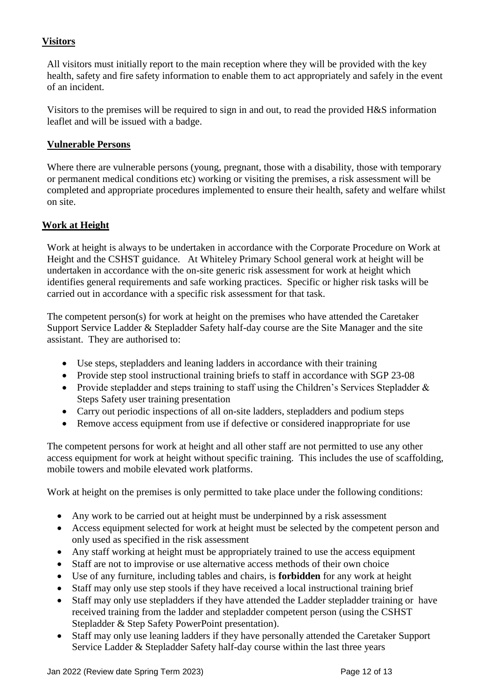## **Visitors**

All visitors must initially report to the main reception where they will be provided with the key health, safety and fire safety information to enable them to act appropriately and safely in the event of an incident.

Visitors to the premises will be required to sign in and out, to read the provided H&S information leaflet and will be issued with a badge.

## **Vulnerable Persons**

Where there are vulnerable persons (young, pregnant, those with a disability, those with temporary or permanent medical conditions etc) working or visiting the premises, a risk assessment will be completed and appropriate procedures implemented to ensure their health, safety and welfare whilst on site.

## **Work at Height**

Work at height is always to be undertaken in accordance with the Corporate Procedure on Work at Height and the CSHST guidance. At Whiteley Primary School general work at height will be undertaken in accordance with the on-site generic risk assessment for work at height which identifies general requirements and safe working practices. Specific or higher risk tasks will be carried out in accordance with a specific risk assessment for that task.

The competent person(s) for work at height on the premises who have attended the Caretaker Support Service Ladder & Stepladder Safety half-day course are the Site Manager and the site assistant. They are authorised to:

- Use steps, stepladders and leaning ladders in accordance with their training
- Provide step stool instructional training briefs to staff in accordance with SGP 23-08
- Provide stepladder and steps training to staff using the Children's Services Stepladder & Steps Safety user training presentation
- Carry out periodic inspections of all on-site ladders, stepladders and podium steps
- Remove access equipment from use if defective or considered inappropriate for use

The competent persons for work at height and all other staff are not permitted to use any other access equipment for work at height without specific training. This includes the use of scaffolding, mobile towers and mobile elevated work platforms.

Work at height on the premises is only permitted to take place under the following conditions:

- Any work to be carried out at height must be underpinned by a risk assessment
- Access equipment selected for work at height must be selected by the competent person and only used as specified in the risk assessment
- Any staff working at height must be appropriately trained to use the access equipment
- Staff are not to improvise or use alternative access methods of their own choice
- Use of any furniture, including tables and chairs, is **forbidden** for any work at height
- Staff may only use step stools if they have received a local instructional training brief
- Staff may only use stepladders if they have attended the Ladder stepladder training or have received training from the ladder and stepladder competent person (using the CSHST Stepladder & Step Safety PowerPoint presentation).
- Staff may only use leaning ladders if they have personally attended the Caretaker Support Service Ladder & Stepladder Safety half-day course within the last three years